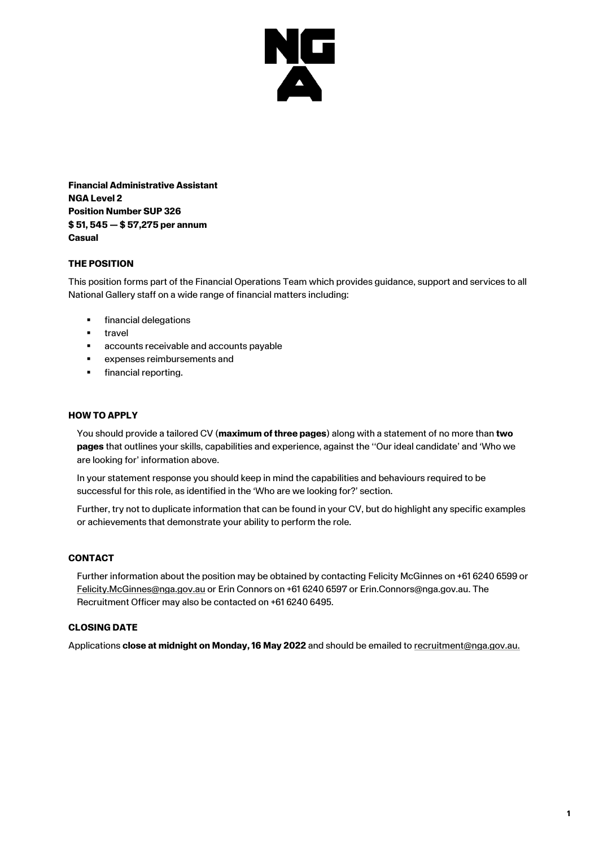

**Financial Administrative Assistant NGA Level 2 Position Number SUP 326 \$ 51, 545 — \$ 57,275 per annum Casual**

# **THE POSITION**

This position forms part of the Financial Operations Team which provides guidance, support and services to all National Gallery staff on a wide range of financial matters including:

- **■** financial delegations
- travel
- accounts receivable and accounts payable
- expenses reimbursements and
- financial reporting.

#### **HOW TO APPLY**

You should provide a tailored CV (**maximum of three pages**) along with a statement of no more than **two pages** that outlines your skills, capabilities and experience, against the ''Our ideal candidate' and 'Who we are looking for' information above.

In your statement response you should keep in mind the capabilities and behaviours required to be successful for this role, as identified in the 'Who are we looking for?' section.

Further, try not to duplicate information that can be found in your CV, but do highlight any specific examples or achievements that demonstrate your ability to perform the role.

#### **CONTACT**

Further information about the position may be obtained by contacting Felicity McGinnes on +61 6240 6599 or [Felicity.McGinnes@nga.gov.au](mailto:Barbara.jones@nga.gov.au?subject=SUP326%20Finance%20Administrative%20Assistant%20role) or Erin Connors on +61 6240 6597 or Erin.Connors@nga.gov.au. The Recruitment Officer may also be contacted on +61 6240 6495.

#### **CLOSING DATE**

Applications **close at midnight on Monday, 16 May 2022** and should be emailed to [recruitment@nga.gov.au.](file://///NGAVFS02/Groups/PubAffairs/29.%20Studio%20Ongarato/__REBRAND/HR/recruitment@nga.gov.au)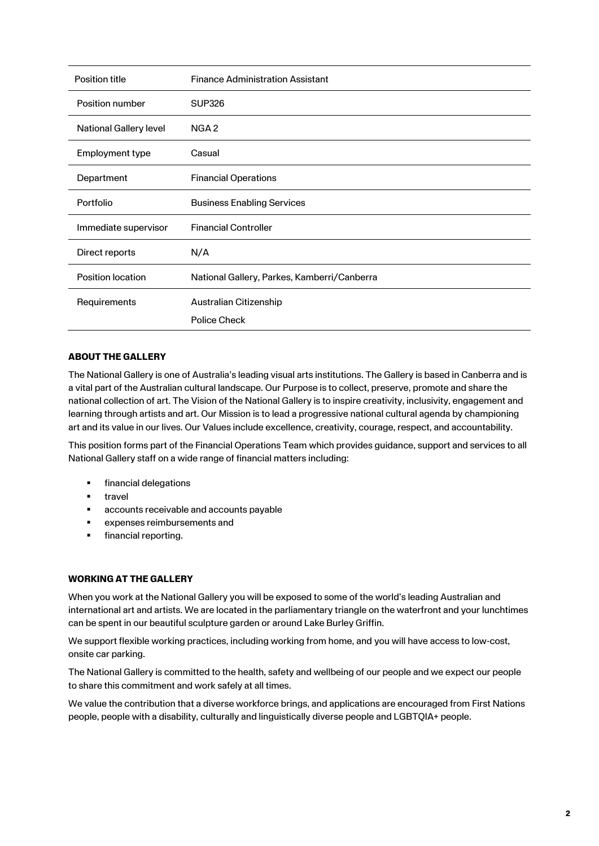| Position title                | <b>Finance Administration Assistant</b>     |
|-------------------------------|---------------------------------------------|
| Position number               | <b>SUP326</b>                               |
| <b>National Gallery level</b> | NGA <sub>2</sub>                            |
| Employment type               | Casual                                      |
| Department                    | <b>Financial Operations</b>                 |
| Portfolio                     | <b>Business Enabling Services</b>           |
| Immediate supervisor          | <b>Financial Controller</b>                 |
| Direct reports                | N/A                                         |
| Position location             | National Gallery, Parkes, Kamberri/Canberra |
| Requirements                  | Australian Citizenship                      |
|                               | <b>Police Check</b>                         |

# **ABOUT THE GALLERY**

The National Gallery is one of Australia's leading visual arts institutions. The Gallery is based in Canberra and is a vital part of the Australian cultural landscape. Our Purpose is to collect, preserve, promote and share the national collection of art. The Vision of the National Gallery is to inspire creativity, inclusivity, engagement and learning through artists and art. Our Mission is to lead a progressive national cultural agenda by championing art and its value in our lives. Our Values include excellence, creativity, courage, respect, and accountability.

This position forms part of the Financial Operations Team which provides guidance, support and services to all National Gallery staff on a wide range of financial matters including:

- financial delegations
- travel
- accounts receivable and accounts payable
- expenses reimbursements and
- **•** financial reporting.

### **WORKING AT THE GALLERY**

When you work at the National Gallery you will be exposed to some of the world's leading Australian and international art and artists. We are located in the parliamentary triangle on the waterfront and your lunchtimes can be spent in our beautiful sculpture garden or around Lake Burley Griffin.

We support flexible working practices, including working from home, and you will have access to low-cost, onsite car parking.

The National Gallery is committed to the health, safety and wellbeing of our people and we expect our people to share this commitment and work safely at all times.

We value the contribution that a diverse workforce brings, and applications are encouraged from First Nations people, people with a disability, culturally and linguistically diverse people and LGBTQIA+ people.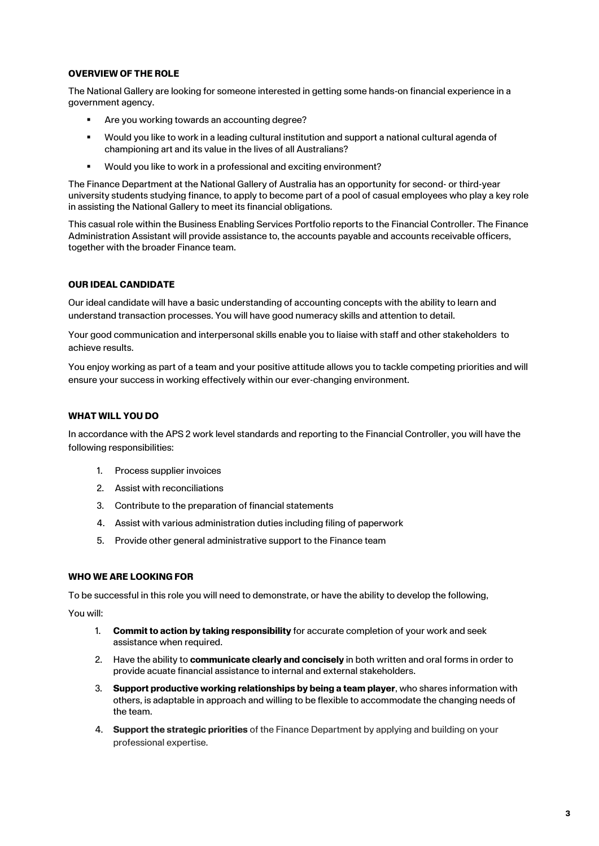### **OVERVIEW OF THE ROLE**

The National Gallery are looking for someone interested in getting some hands-on financial experience in a government agency.

- Are you working towards an accounting degree?
- Would you like to work in a leading cultural institution and support a national cultural agenda of championing art and its value in the lives of all Australians?
- Would you like to work in a professional and exciting environment?

The Finance Department at the National Gallery of Australia has an opportunity for second- or third-year university students studying finance, to apply to become part of a pool of casual employees who play a key role in assisting the National Gallery to meet its financial obligations.

This casual role within the Business Enabling Services Portfolio reports to the Financial Controller. The Finance Administration Assistant will provide assistance to, the accounts payable and accounts receivable officers, together with the broader Finance team.

### **OUR IDEAL CANDIDATE**

Our ideal candidate will have a basic understanding of accounting concepts with the ability to learn and understand transaction processes. You will have good numeracy skills and attention to detail.

Your good communication and interpersonal skills enable you to liaise with staff and other stakeholders to achieve results.

You enjoy working as part of a team and your positive attitude allows you to tackle competing priorities and will ensure your success in working effectively within our ever-changing environment.

### **WHAT WILL YOU DO**

In accordance with the APS 2 work level standards and reporting to the Financial Controller, you will have the following responsibilities:

- 1. Process supplier invoices
- 2. Assist with reconciliations
- 3. Contribute to the preparation of financial statements
- 4. Assist with various administration duties including filing of paperwork
- 5. Provide other general administrative support to the Finance team

### **WHO WE ARE LOOKING FOR**

To be successful in this role you will need to demonstrate, or have the ability to develop the following,

You will:

- 1. **Commit to action by taking responsibility** for accurate completion of your work and seek assistance when required.
- 2. Have the ability to **communicate clearly and concisely** in both written and oral forms in order to provide acuate financial assistance to internal and external stakeholders.
- 3. **Support productive working relationships by being a team player**, who shares information with others, is adaptable in approach and willing to be flexible to accommodate the changing needs of the team.
- 4. **Support the strategic priorities** of the Finance Department by applying and building on your professional expertise.